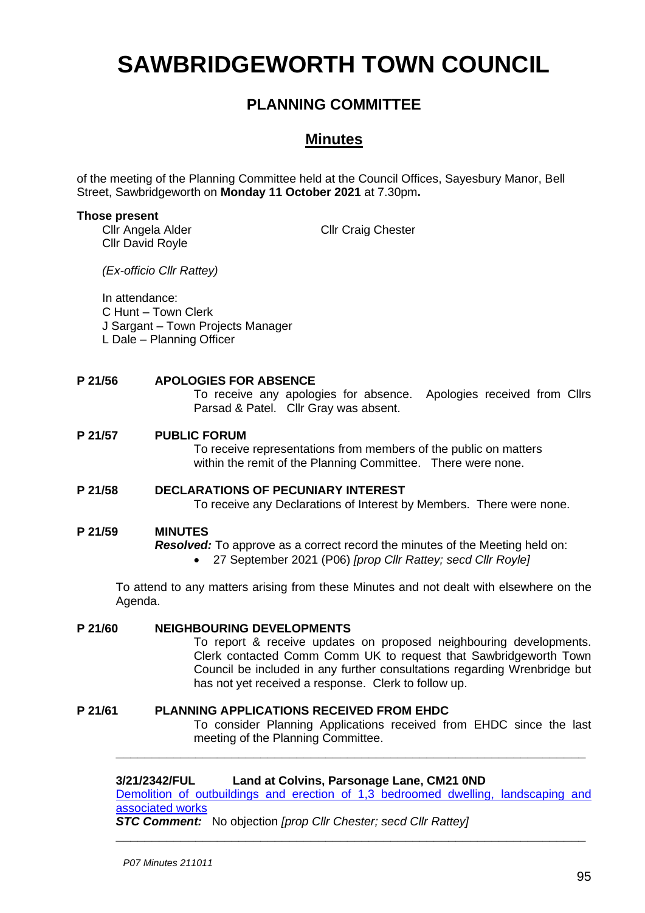# **SAWBRIDGEWORTH TOWN COUNCIL**

## **PLANNING COMMITTEE**

### **Minutes**

of the meeting of the Planning Committee held at the Council Offices, Sayesbury Manor, Bell Street, Sawbridgeworth on **Monday 11 October 2021** at 7.30pm**.**

#### **Those present**

Cllr Angela Alder Cllr David Royle

Cllr Craig Chester

*(Ex-officio Cllr Rattey)*

In attendance:

C Hunt – Town Clerk

- J Sargant Town Projects Manager
- L Dale Planning Officer

#### **P 21/56 APOLOGIES FOR ABSENCE**

To receive any apologies for absence. Apologies received from Cllrs Parsad & Patel. Cllr Gray was absent.

#### **P 21/57 PUBLIC FORUM**

To receive representations from members of the public on matters within the remit of the Planning Committee. There were none.

#### **P 21/58 DECLARATIONS OF PECUNIARY INTEREST** To receive any Declarations of Interest by Members. There were none.

#### **P 21/59 MINUTES**

*Resolved:* To approve as a correct record the minutes of the Meeting held on:

• 27 September 2021 (P06) *[prop Cllr Rattey; secd Cllr Royle]*

To attend to any matters arising from these Minutes and not dealt with elsewhere on the Agenda.

#### **P 21/60 NEIGHBOURING DEVELOPMENTS**

To report & receive updates on proposed neighbouring developments. Clerk contacted Comm Comm UK to request that Sawbridgeworth Town Council be included in any further consultations regarding Wrenbridge but has not yet received a response. Clerk to follow up.

#### **P 21/61 PLANNING APPLICATIONS RECEIVED FROM EHDC** To consider Planning Applications received from EHDC since the last meeting of the Planning Committee.

#### **3/21/2342/FUL Land at Colvins, Parsonage Lane, CM21 0ND**

[Demolition of outbuildings and erection of 1,3 bedroomed dwelling, landscaping and](https://publicaccess.eastherts.gov.uk/online-applications/applicationDetails.do?activeTab=documents&keyVal=QZ69RFGLGZ400) [associated works](https://publicaccess.eastherts.gov.uk/online-applications/applicationDetails.do?activeTab=documents&keyVal=QZ69RFGLGZ400)

**\_\_\_\_\_\_\_\_\_\_\_\_\_\_\_\_\_\_\_\_\_\_\_\_\_\_\_\_\_\_\_\_\_\_\_\_\_\_\_\_\_\_\_\_\_\_\_\_\_\_\_\_\_\_\_\_\_\_\_\_\_\_\_\_\_**

**\_\_\_\_\_\_\_\_\_\_\_\_\_\_\_\_\_\_\_\_\_\_\_\_\_\_\_\_\_\_\_\_\_\_\_\_\_\_\_\_\_\_\_\_\_\_\_\_\_\_\_\_\_\_\_\_\_\_\_\_\_\_\_\_\_**

*STC Comment:* No objection *[prop Cllr Chester; secd Cllr Rattey]*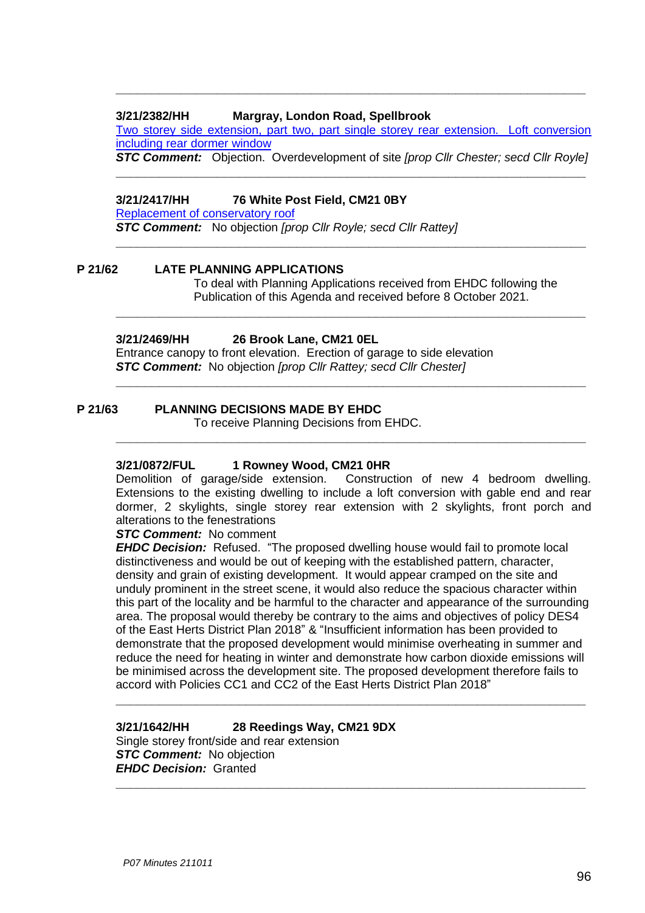#### **3/21/2382/HH Margray, London Road, Spellbrook**

[Two storey side extension, part two, part single storey rear extension. Loft conversion](https://publicaccess.eastherts.gov.uk/online-applications/applicationDetails.do?activeTab=documents&keyVal=QZFJ45GLH1Z00)  [including rear dormer window](https://publicaccess.eastherts.gov.uk/online-applications/applicationDetails.do?activeTab=documents&keyVal=QZFJ45GLH1Z00)

**\_\_\_\_\_\_\_\_\_\_\_\_\_\_\_\_\_\_\_\_\_\_\_\_\_\_\_\_\_\_\_\_\_\_\_\_\_\_\_\_\_\_\_\_\_\_\_\_\_\_\_\_\_\_\_\_\_\_\_\_\_\_\_\_\_**

*STC Comment:* Objection. Overdevelopment of site *[prop Cllr Chester; secd Cllr Royle]* **\_\_\_\_\_\_\_\_\_\_\_\_\_\_\_\_\_\_\_\_\_\_\_\_\_\_\_\_\_\_\_\_\_\_\_\_\_\_\_\_\_\_\_\_\_\_\_\_\_\_\_\_\_\_\_\_\_\_\_\_\_\_\_\_\_**

#### **3/21/2417/HH 76 White Post Field, CM21 0BY**

[Replacement of conservatory](https://publicaccess.eastherts.gov.uk/online-applications/applicationDetails.do?keyVal=QZQCFJGLH4O00&activeTab=summary) roof

*STC Comment:* No objection *[prop Cllr Royle; secd Cllr Rattey]* **\_\_\_\_\_\_\_\_\_\_\_\_\_\_\_\_\_\_\_\_\_\_\_\_\_\_\_\_\_\_\_\_\_\_\_\_\_\_\_\_\_\_\_\_\_\_\_\_\_\_\_\_\_\_\_\_\_\_\_\_\_\_\_\_\_**

#### **P 21/62 LATE PLANNING APPLICATIONS**

To deal with Planning Applications received from EHDC following the Publication of this Agenda and received before 8 October 2021.

**\_\_\_\_\_\_\_\_\_\_\_\_\_\_\_\_\_\_\_\_\_\_\_\_\_\_\_\_\_\_\_\_\_\_\_\_\_\_\_\_\_\_\_\_\_\_\_\_\_\_\_\_\_\_\_\_\_\_\_\_\_\_\_\_\_**

**\_\_\_\_\_\_\_\_\_\_\_\_\_\_\_\_\_\_\_\_\_\_\_\_\_\_\_\_\_\_\_\_\_\_\_\_\_\_\_\_\_\_\_\_\_\_\_\_\_\_\_\_\_\_\_\_\_\_\_\_\_\_\_\_\_**

**\_\_\_\_\_\_\_\_\_\_\_\_\_\_\_\_\_\_\_\_\_\_\_\_\_\_\_\_\_\_\_\_\_\_\_\_\_\_\_\_\_\_\_\_\_\_\_\_\_\_\_\_\_\_\_\_\_\_\_\_\_\_\_\_\_**

#### **3/21/2469/HH 26 Brook Lane, CM21 0EL**

Entrance canopy to front elevation. Erection of garage to side elevation *STC Comment:* No objection *[prop Cllr Rattey; secd Cllr Chester]*

#### **P 21/63 PLANNING DECISIONS MADE BY EHDC**

To receive Planning Decisions from EHDC.

## **3/21/0872/FUL 1 Rowney Wood, CM21 0HR**

Construction of new 4 bedroom dwelling. Extensions to the existing dwelling to include a loft conversion with gable end and rear dormer, 2 skylights, single storey rear extension with 2 skylights, front porch and alterations to the fenestrations

#### *STC Comment:* No comment

*EHDC Decision:* Refused. "The proposed dwelling house would fail to promote local distinctiveness and would be out of keeping with the established pattern, character, density and grain of existing development. It would appear cramped on the site and unduly prominent in the street scene, it would also reduce the spacious character within this part of the locality and be harmful to the character and appearance of the surrounding area. The proposal would thereby be contrary to the aims and objectives of policy DES4 of the East Herts District Plan 2018" & "Insufficient information has been provided to demonstrate that the proposed development would minimise overheating in summer and reduce the need for heating in winter and demonstrate how carbon dioxide emissions will be minimised across the development site. The proposed development therefore fails to accord with Policies CC1 and CC2 of the East Herts District Plan 2018"

**\_\_\_\_\_\_\_\_\_\_\_\_\_\_\_\_\_\_\_\_\_\_\_\_\_\_\_\_\_\_\_\_\_\_\_\_\_\_\_\_\_\_\_\_\_\_\_\_\_\_\_\_\_\_\_\_\_\_\_\_\_\_\_\_\_**

**\_\_\_\_\_\_\_\_\_\_\_\_\_\_\_\_\_\_\_\_\_\_\_\_\_\_\_\_\_\_\_\_\_\_\_\_\_\_\_\_\_\_\_\_\_\_\_\_\_\_\_\_\_\_\_\_\_\_\_\_\_\_\_\_\_**

**3/21/1642/HH 28 Reedings Way, CM21 9DX** Single storey front/side and rear extension *STC Comment:* No objection *EHDC Decision:* Granted